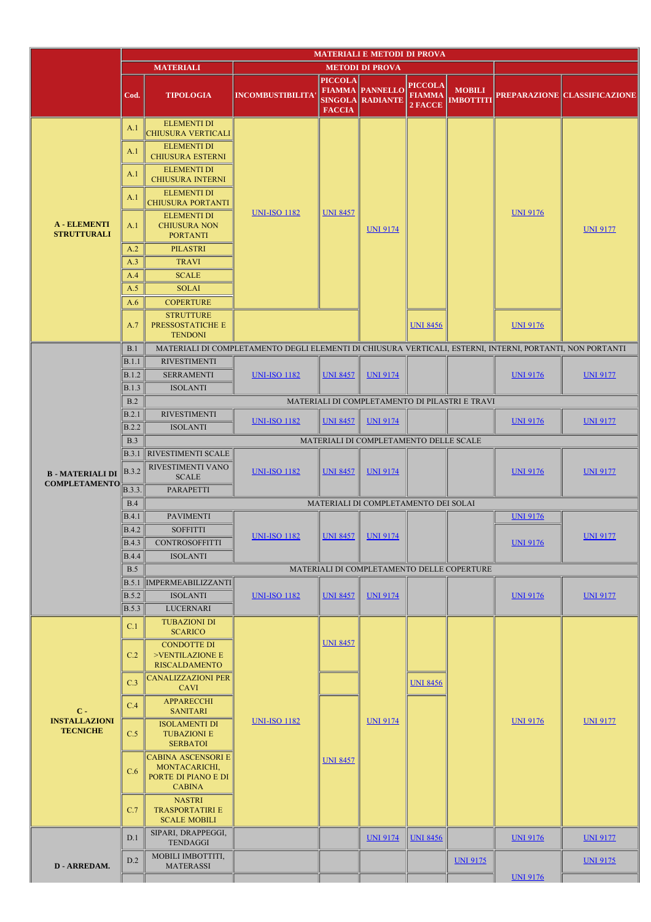|                                                  | <b>MATERIALI E METODI DI PROVA</b> |                                                                                    |                                                                                                           |                                 |                                                   |                                            |                                                |                 |                              |
|--------------------------------------------------|------------------------------------|------------------------------------------------------------------------------------|-----------------------------------------------------------------------------------------------------------|---------------------------------|---------------------------------------------------|--------------------------------------------|------------------------------------------------|-----------------|------------------------------|
|                                                  |                                    | <b>MATERIALI</b>                                                                   | <b>METODI DI PROVA</b>                                                                                    |                                 |                                                   |                                            |                                                |                 |                              |
|                                                  | Cod.                               | <b>TIPOLOGIA</b>                                                                   | <b>INCOMBUSTIBILITA</b>                                                                                   | <b>PICCOLA</b><br><b>FACCIA</b> | <b>FIAMMA PANNELLO</b><br><b>SINGOLA RADIANTE</b> | <b>PICCOLA</b><br><b>FIAMMA</b><br>2 FACCE | <b>MOBILI</b><br><b>IMBOTTITI</b>              |                 | PREPARAZIONE CLASSIFICAZIONE |
| <b>A</b> - ELEMENTI<br><b>STRUTTURALI</b>        | A.1                                | <b>ELEMENTI DI</b><br>CHIUSURA VERTICALI                                           | <b>UNI-ISO 1182</b>                                                                                       | <b>UNI 8457</b>                 | <b>UNI 9174</b>                                   |                                            |                                                | <b>UNI 9176</b> | <b>UNI 9177</b>              |
|                                                  | A.1                                | <b>ELEMENTI DI</b><br><b>CHIUSURA ESTERNI</b>                                      |                                                                                                           |                                 |                                                   |                                            |                                                |                 |                              |
|                                                  | A.1                                | <b>ELEMENTI DI</b><br><b>CHIUSURA INTERNI</b>                                      |                                                                                                           |                                 |                                                   |                                            |                                                |                 |                              |
|                                                  | A.1                                | <b>ELEMENTI DI</b><br><b>CHIUSURA PORTANTI</b>                                     |                                                                                                           |                                 |                                                   |                                            |                                                |                 |                              |
|                                                  | A.1                                | <b>ELEMENTI DI</b><br><b>CHIUSURA NON</b><br><b>PORTANTI</b>                       |                                                                                                           |                                 |                                                   |                                            |                                                |                 |                              |
|                                                  | A.2                                | <b>PILASTRI</b>                                                                    |                                                                                                           |                                 |                                                   |                                            |                                                |                 |                              |
|                                                  | A.3                                | <b>TRAVI</b>                                                                       |                                                                                                           |                                 |                                                   |                                            |                                                |                 |                              |
|                                                  | A.4                                | <b>SCALE</b>                                                                       |                                                                                                           |                                 |                                                   |                                            |                                                |                 |                              |
|                                                  | A.5                                | <b>SOLAI</b>                                                                       |                                                                                                           |                                 |                                                   |                                            |                                                |                 |                              |
|                                                  | A.6                                | <b>COPERTURE</b>                                                                   |                                                                                                           |                                 |                                                   |                                            |                                                |                 |                              |
|                                                  | A.7                                | <b>STRUTTURE</b><br>PRESSOSTATICHE E<br><b>TENDONI</b>                             |                                                                                                           |                                 |                                                   | <b>UNI 8456</b>                            |                                                | <b>UNI 9176</b> |                              |
|                                                  | B.1                                |                                                                                    | MATERIALI DI COMPLETAMENTO DEGLI ELEMENTI DI CHIUSURA VERTICALI, ESTERNI, INTERNI, PORTANTI, NON PORTANTI |                                 |                                                   |                                            |                                                |                 |                              |
|                                                  | B.1.1                              | <b>RIVESTIMENTI</b>                                                                |                                                                                                           |                                 |                                                   |                                            |                                                | <b>UNI 9176</b> | <b>UNI 9177</b>              |
|                                                  | <b>B.1.2</b>                       | <b>SERRAMENTI</b>                                                                  | <b>UNI-ISO 1182</b>                                                                                       | <b>UNI 8457</b>                 | <b>UNI 9174</b>                                   |                                            |                                                |                 |                              |
|                                                  | <b>B.1.3</b>                       | <b>ISOLANTI</b>                                                                    |                                                                                                           |                                 |                                                   |                                            |                                                |                 |                              |
|                                                  | B.2                                |                                                                                    |                                                                                                           |                                 |                                                   |                                            | MATERIALI DI COMPLETAMENTO DI PILASTRI E TRAVI |                 |                              |
|                                                  | B.2.1                              | <b>RIVESTIMENTI</b>                                                                | <b>UNI-ISO 1182</b>                                                                                       | <b>UNI 8457</b>                 | <b>UNI 9174</b>                                   |                                            |                                                | <b>UNI 9176</b> | <b>UNI 9177</b>              |
|                                                  | B.2.2                              | <b>ISOLANTI</b>                                                                    |                                                                                                           |                                 |                                                   |                                            |                                                |                 |                              |
|                                                  | B.3                                |                                                                                    |                                                                                                           |                                 | MATERIALI DI COMPLETAMENTO DELLE SCALE            |                                            |                                                |                 |                              |
| <b>B-MATERIALI DI</b>                            | B.3.1<br>$\vert$ B.3.2             | RIVESTIMENTI SCALE<br>RIVESTIMENTI VANO<br><b>SCALE</b>                            | <b>UNI-ISO 1182</b>                                                                                       | <b>UNI 8457</b>                 | <b>UNI 9174</b>                                   |                                            |                                                | <b>UNI 9176</b> | <b>UNI 9177</b>              |
| <b>COMPLETAMENTO</b>                             | B.3.3.                             | PARAPETTI                                                                          |                                                                                                           |                                 |                                                   |                                            |                                                |                 |                              |
|                                                  | B.4                                |                                                                                    |                                                                                                           |                                 | MATERIALI DI COMPLETAMENTO DEI SOLAI              |                                            |                                                |                 |                              |
|                                                  | B.4.1                              | <b>PAVIMENTI</b>                                                                   |                                                                                                           |                                 |                                                   |                                            |                                                | <b>UNI 9176</b> |                              |
|                                                  | <b>B.4.2</b>                       | <b>SOFFITTI</b>                                                                    | <u>UNI-ISO 1182</u>                                                                                       |                                 | <u>UNI 9174</u>                                   |                                            |                                                | <b>UNI 9176</b> | <u>UNI 9177</u>              |
|                                                  | <b>B.4.3</b>                       | <b>CONTROSOFFITTI</b>                                                              |                                                                                                           | <u>UNI 8457</u>                 |                                                   |                                            |                                                |                 |                              |
|                                                  | <b>B.4.4</b>                       | <b>ISOLANTI</b>                                                                    |                                                                                                           |                                 |                                                   |                                            |                                                |                 |                              |
|                                                  | B.5                                |                                                                                    |                                                                                                           |                                 | MATERIALI DI COMPLETAMENTO DELLE COPERTURE        |                                            |                                                |                 |                              |
|                                                  | <b>B.5.1</b>                       | <b>IMPERMEABILIZZANTI</b>                                                          |                                                                                                           |                                 |                                                   |                                            |                                                |                 |                              |
|                                                  | <b>B.5.2</b>                       | <b>ISOLANTI</b>                                                                    | <b>UNI-ISO 1182</b>                                                                                       | <b>UNI 8457</b>                 | <b>UNI 9174</b>                                   |                                            | <b>UNI 9176</b>                                | <b>UNI 9177</b> |                              |
|                                                  | <b>B.5.3</b>                       | <b>LUCERNARI</b>                                                                   |                                                                                                           |                                 |                                                   |                                            |                                                |                 |                              |
| $C -$<br><b>INSTALLAZIONI</b><br><b>TECNICHE</b> | C.1                                | <b>TUBAZIONI DI</b><br><b>SCARICO</b><br><b>CONDOTTE DI</b>                        | <b>UNI-ISO 1182</b>                                                                                       | <b>UNI 8457</b>                 | <b>UNI 9174</b>                                   |                                            |                                                |                 | <b>UNI 9177</b>              |
|                                                  | C.2                                | >VENTILAZIONE E<br><b>RISCALDAMENTO</b>                                            |                                                                                                           |                                 |                                                   |                                            |                                                |                 |                              |
|                                                  | C.3                                | <b>CANALIZZAZIONI PER</b><br><b>CAVI</b>                                           |                                                                                                           |                                 |                                                   | <b>UNI 8456</b>                            |                                                |                 |                              |
|                                                  | C.4                                | APPARECCHI<br><b>SANITARI</b>                                                      |                                                                                                           |                                 |                                                   |                                            |                                                | <b>UNI 9176</b> |                              |
|                                                  | C.5                                | <b>ISOLAMENTI DI</b><br><b>TUBAZIONI E</b><br><b>SERBATOI</b>                      |                                                                                                           | <b>UNI 8457</b>                 |                                                   |                                            |                                                |                 |                              |
|                                                  | C.6                                | <b>CABINA ASCENSORI E</b><br>MONTACARICHI,<br>PORTE DI PIANO E DI<br><b>CABINA</b> |                                                                                                           |                                 |                                                   |                                            |                                                |                 |                              |
|                                                  | C.7                                | <b>NASTRI</b><br><b>TRASPORTATIRI E</b><br><b>SCALE MOBILI</b>                     |                                                                                                           |                                 |                                                   |                                            |                                                |                 |                              |
| D - ARREDAM.                                     | D.1                                | SIPARI, DRAPPEGGI,<br><b>TENDAGGI</b>                                              |                                                                                                           |                                 | <b>UNI 9174</b>                                   | <b>UNI 8456</b>                            |                                                | <b>UNI 9176</b> | <b>UNI 9177</b>              |
|                                                  | D.2                                | MOBILI IMBOTTITI,<br><b>MATERASSI</b>                                              |                                                                                                           |                                 |                                                   |                                            | <b>UNI 9175</b>                                |                 | <b>UNI 9175</b>              |
|                                                  |                                    |                                                                                    |                                                                                                           |                                 |                                                   |                                            |                                                | <b>UNI 9176</b> |                              |